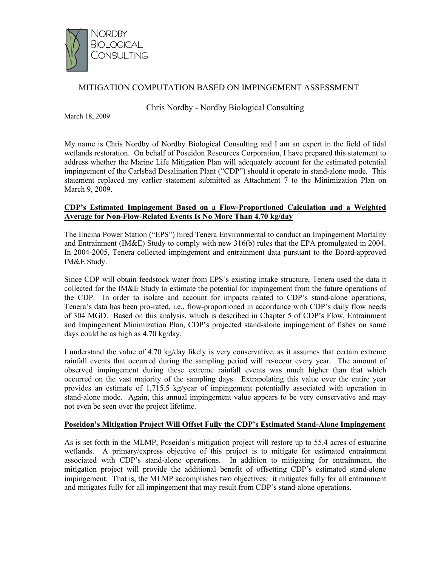

# MITIGATION COMPUTATION BASED ON IMPINGEMENT ASSESSMENT

Chris Nordby - Nordby Biological Consulting

March 18, 2009

My name is Chris Nordby of Nordby Biological Consulting and I am an expert in the field of tidal wetlands restoration. On behalf of Poseidon Resources Corporation, I have prepared this statement to address whether the Marine Life Mitigation Plan will adequately account for the estimated potential impingement of the Carlsbad Desalination Plant ("CDP") should it operate in stand-alone mode. This statement replaced my earlier statement submitted as Attachment 7 to the Minimization Plan on March 9, 2009.

#### **CDP's Estimated Impingement Based on a Flow-Proportioned Calculation and a Weighted Average for Non-Flow-Related Events Is No More Than 4.70 kg/day**

The Encina Power Station ("EPS") hired Tenera Environmental to conduct an Impingement Mortality and Entrainment (IM&E) Study to comply with new 316(b) rules that the EPA promulgated in 2004. In 2004-2005, Tenera collected impingement and entrainment data pursuant to the Board-approved IM&E Study.

Since CDP will obtain feedstock water from EPS's existing intake structure, Tenera used the data it collected for the IM&E Study to estimate the potential for impingement from the future operations of the CDP. In order to isolate and account for impacts related to CDP's stand-alone operations, Tenera's data has been pro-rated, i.e., flow-proportioned in accordance with CDP's daily flow needs of 304 MGD. Based on this analysis, which is described in Chapter 5 of CDP's Flow, Entrainment and Impingement Minimization Plan, CDP's projected stand-alone impingement of fishes on some days could be as high as 4.70 kg/day.

I understand the value of 4.70 kg/day likely is very conservative, as it assumes that certain extreme rainfall events that occurred during the sampling period will re-occur every year. The amount of observed impingement during these extreme rainfall events was much higher than that which occurred on the vast majority of the sampling days. Extrapolating this value over the entire year provides an estimate of 1,715.5 kg/year of impingement potentially associated with operation in stand-alone mode. Again, this annual impingement value appears to be very conservative and may not even be seen over the project lifetime.

## **Poseidon's Mitigation Project Will Offset Fully the CDP's Estimated Stand-Alone Impingement**

As is set forth in the MLMP, Poseidon's mitigation project will restore up to 55.4 acres of estuarine wetlands. A primary/express objective of this project is to mitigate for estimated entrainment associated with CDP's stand-alone operations. In addition to mitigating for entrainment, the mitigation project will provide the additional benefit of offsetting CDP's estimated stand-alone impingement. That is, the MLMP accomplishes two objectives: it mitigates fully for all entrainment and mitigates fully for all impingement that may result from CDP's stand-alone operations.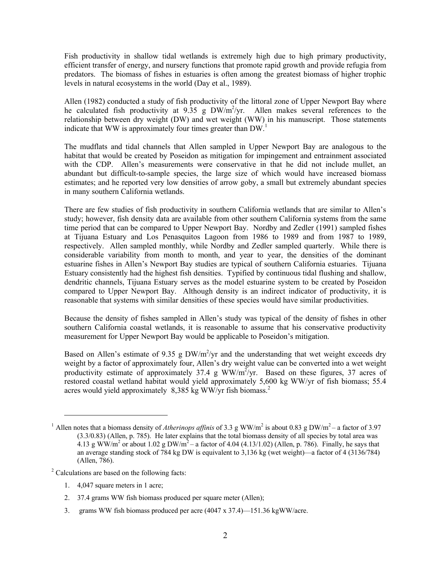Fish productivity in shallow tidal wetlands is extremely high due to high primary productivity, efficient transfer of energy, and nursery functions that promote rapid growth and provide refugia from predators. The biomass of fishes in estuaries is often among the greatest biomass of higher trophic levels in natural ecosystems in the world (Day et al., 1989).

Allen (1982) conducted a study of fish productivity of the littoral zone of Upper Newport Bay where he calculated fish productivity at  $9.35$  g DW/m<sup>2</sup>/yr. Allen makes several references to the relationship between dry weight (DW) and wet weight (WW) in his manuscript. Those statements indicate that WW is approximately four times greater than  $DW<sup>1</sup>$ .

The mudflats and tidal channels that Allen sampled in Upper Newport Bay are analogous to the habitat that would be created by Poseidon as mitigation for impingement and entrainment associated with the CDP. Allen's measurements were conservative in that he did not include mullet, an abundant but difficult-to-sample species, the large size of which would have increased biomass estimates; and he reported very low densities of arrow goby, a small but extremely abundant species in many southern California wetlands.

There are few studies of fish productivity in southern California wetlands that are similar to Allen's study; however, fish density data are available from other southern California systems from the same time period that can be compared to Upper Newport Bay. Nordby and Zedler (1991) sampled fishes at Tijuana Estuary and Los Penasquitos Lagoon from 1986 to 1989 and from 1987 to 1989, respectively. Allen sampled monthly, while Nordby and Zedler sampled quarterly. While there is considerable variability from month to month, and year to year, the densities of the dominant estuarine fishes in Allen's Newport Bay studies are typical of southern California estuaries. Tijuana Estuary consistently had the highest fish densities. Typified by continuous tidal flushing and shallow, dendritic channels, Tijuana Estuary serves as the model estuarine system to be created by Poseidon compared to Upper Newport Bay. Although density is an indirect indicator of productivity, it is reasonable that systems with similar densities of these species would have similar productivities.

Because the density of fishes sampled in Allen's study was typical of the density of fishes in other southern California coastal wetlands, it is reasonable to assume that his conservative productivity measurement for Upper Newport Bay would be applicable to Poseidon's mitigation.

Based on Allen's estimate of 9.35 g  $DW/m^2/yr$  and the understanding that wet weight exceeds dry weight by a factor of approximately four, Allen's dry weight value can be converted into a wet weight productivity estimate of approximately 37.4 g WW/m<sup>2</sup>/yr. Based on these figures, 37 acres of restored coastal wetland habitat would yield approximately 5,600 kg WW/yr of fish biomass; 55.4 acres would yield approximately 8,385 kg WW/ $\sqrt{yr}$  fish biomass.<sup>2</sup>

<sup>2</sup> Calculations are based on the following facts:

- 1. 4,047 square meters in 1 acre;
- 2. 37.4 grams WW fish biomass produced per square meter (Allen);
- 3. grams WW fish biomass produced per acre (4047 x 37.4)—151.36 kgWW/acre.

<sup>&</sup>lt;sup>1</sup> Allen notes that a biomass density of *Atherinops affinis* of 3.3 g WW/m<sup>2</sup> is about 0.83 g DW/m<sup>2</sup> – a factor of 3.97 (3.3/0.83) (Allen, p. 785). He later explains that the total biomass density of all species by total area was 4.13 g WW/m<sup>2</sup> or about 1.02 g DW/m<sup>2</sup> – a factor of 4.04 (4.13/1.02) (Allen, p. 786). Finally, he says that an average standing stock of 784 kg DW is equivalent to 3,136 kg (wet weight)—a factor of 4 (3136/784) (Allen, 786).